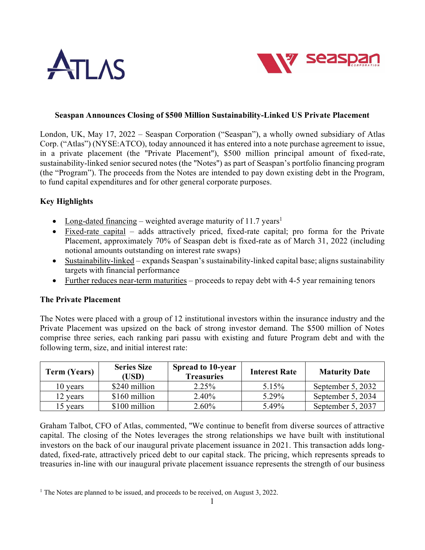



#### **Seaspan Announces Closing of \$500 Million Sustainability-Linked US Private Placement**

London, UK, May 17, 2022 – Seaspan Corporation ("Seaspan"), a wholly owned subsidiary of Atlas Corp. ("Atlas") (NYSE:ATCO), today announced it has entered into a note purchase agreement to issue, in a private placement (the "Private Placement"), \$500 million principal amount of fixed-rate, sustainability-linked senior secured notes (the "Notes") as part of Seaspan's portfolio financing program (the "Program"). The proceeds from the Notes are intended to pay down existing debt in the Program, to fund capital expenditures and for other general corporate purposes.

## **Key Highlights**

- Long-dated financing weighted average maturity of [1](#page-0-0)1.7 years<sup>1</sup>
- Fixed-rate capital adds attractively priced, fixed-rate capital; pro forma for the Private Placement, approximately 70% of Seaspan debt is fixed-rate as of March 31, 2022 (including notional amounts outstanding on interest rate swaps)
- Sustainability-linked expands Seaspan's sustainability-linked capital base; aligns sustainability targets with financial performance
- Further reduces near-term maturities proceeds to repay debt with 4-5 year remaining tenors

#### **The Private Placement**

The Notes were placed with a group of 12 institutional investors within the insurance industry and the Private Placement was upsized on the back of strong investor demand. The \$500 million of Notes comprise three series, each ranking pari passu with existing and future Program debt and with the following term, size, and initial interest rate:

| <b>Term (Years)</b> | <b>Series Size</b><br>(USD) | <b>Spread to 10-year</b><br><b>Treasuries</b> | <b>Interest Rate</b> | <b>Maturity Date</b> |
|---------------------|-----------------------------|-----------------------------------------------|----------------------|----------------------|
| 10 years            | \$240 million               | 2.25%                                         | 5.15%                | September 5, 2032    |
| 12 years            | \$160 million               | 2.40%                                         | 5.29%                | September 5, 2034    |
| 15 years            | \$100 million               | $2.60\%$                                      | 5.49%                | September 5, 2037    |

Graham Talbot, CFO of Atlas, commented, "We continue to benefit from diverse sources of attractive capital. The closing of the Notes leverages the strong relationships we have built with institutional investors on the back of our inaugural private placement issuance in 2021. This transaction adds longdated, fixed-rate, attractively priced debt to our capital stack. The pricing, which represents spreads to treasuries in-line with our inaugural private placement issuance represents the strength of our business

<span id="page-0-0"></span><sup>&</sup>lt;sup>1</sup> The Notes are planned to be issued, and proceeds to be received, on August 3, 2022.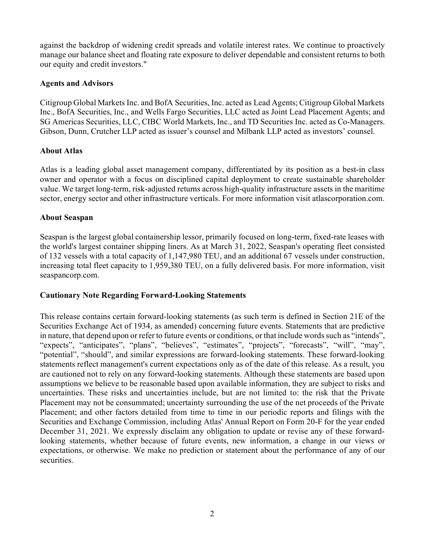against the backdrop of widening credit spreads and volatile interest rates. We continue to proactively manage our balance sheet and floating rate exposure to deliver dependable and consistent returns to both our equity and credit investors."

## **Agents and Advisors**

Citigroup Global Markets Inc. and BofA Securities, Inc. acted as Lead Agents; Citigroup Global Markets Inc., BofA Securities, Inc., and Wells Fargo Securities, LLC acted as Joint Lead Placement Agents; and SG Americas Securities, LLC, CIBC World Markets, Inc., and TD Securities Inc. acted as Co-Managers. Gibson, Dunn, Crutcher LLP acted as issuer's counsel and Milbank LLP acted as investors' counsel.

## **About Atlas**

Atlas is a leading global asset management company, differentiated by its position as a best-in class owner and operator with a focus on disciplined capital deployment to create sustainable shareholder value. We target long-term, risk-adjusted returns across high-quality infrastructure assets in the maritime sector, energy sector and other infrastructure verticals. For more information visit atlascorporation.com.

## **About Seaspan**

Seaspan is the largest global containership lessor, primarily focused on long-term, fixed-rate leases with the world's largest container shipping liners. As at March 31, 2022, Seaspan's operating fleet consisted of 132 vessels with a total capacity of 1,147,980 TEU, and an additional 67 vessels under construction, increasing total fleet capacity to 1,959,380 TEU, on a fully delivered basis. For more information, visit seaspancorp.com.

# **Cautionary Note Regarding Forward-Looking Statements**

This release contains certain forward-looking statements (as such term is defined in Section 21E of the Securities Exchange Act of 1934, as amended) concerning future events. Statements that are predictive in nature, that depend upon or refer to future events or conditions, or that include words such as "intends", "expects", "anticipates", "plans", "believes", "estimates", "projects", "forecasts", "will", "may", "potential", "should", and similar expressions are forward-looking statements. These forward-looking statements reflect management's current expectations only as of the date of this release. As a result, you are cautioned not to rely on any forward-looking statements. Although these statements are based upon assumptions we believe to be reasonable based upon available information, they are subject to risks and uncertainties. These risks and uncertainties include, but are not limited to: the risk that the Private Placement may not be consummated; uncertainty surrounding the use of the net proceeds of the Private Placement; and other factors detailed from time to time in our periodic reports and filings with the Securities and Exchange Commission, including Atlas' Annual Report on Form 20-F for the year ended December 31, 2021. We expressly disclaim any obligation to update or revise any of these forwardlooking statements, whether because of future events, new information, a change in our views or expectations, or otherwise. We make no prediction or statement about the performance of any of our securities.